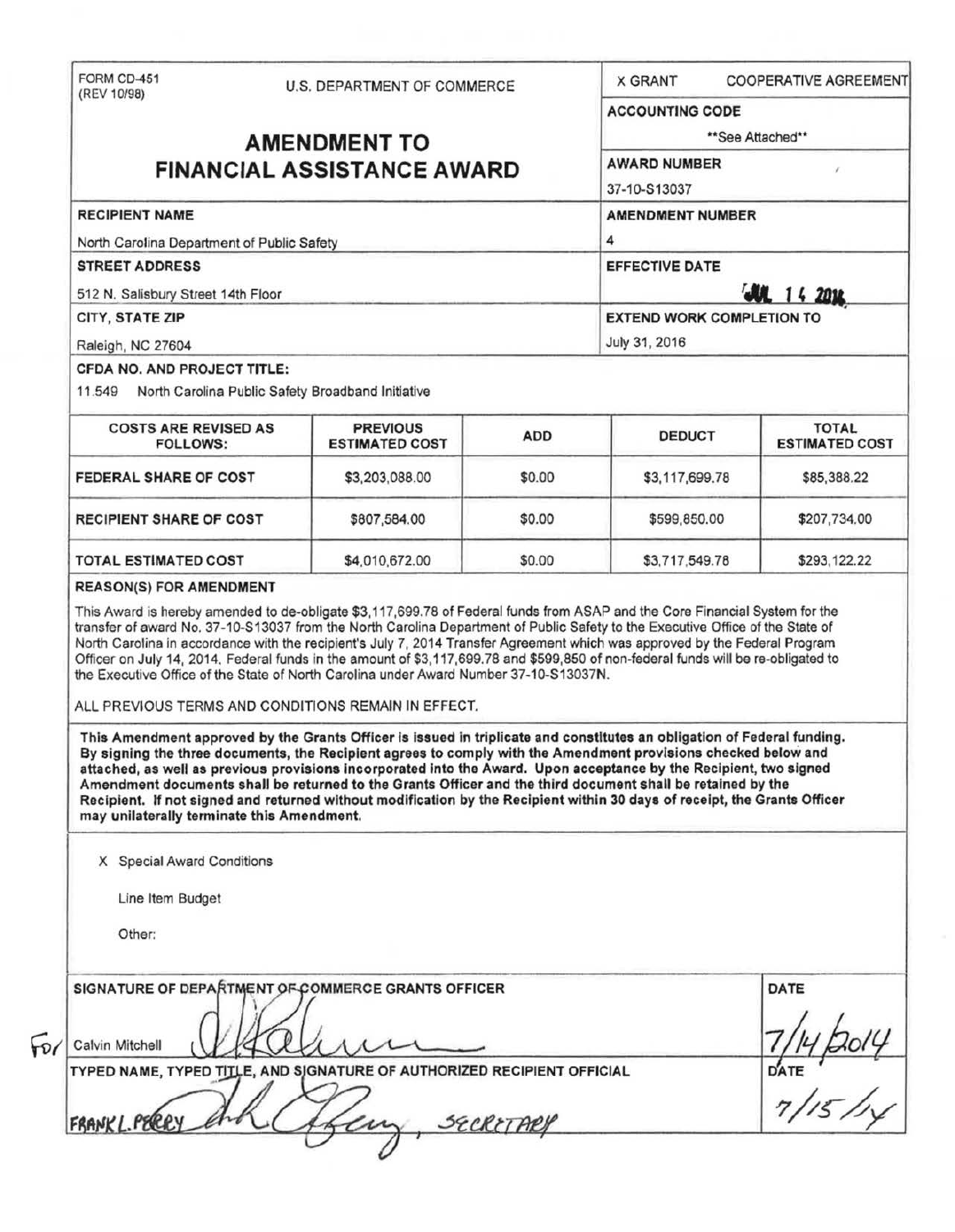|                                                                     |  | U.S. DEPARTMENT OF COMMERCE                                                                                                                                                                                                                                                                                                                                                                                                                                                                                                                                                                                                 |            | <b>X GRANT</b>                                                                  | <b>COOPERATIVE AGREEMENT</b>          |  |
|---------------------------------------------------------------------|--|-----------------------------------------------------------------------------------------------------------------------------------------------------------------------------------------------------------------------------------------------------------------------------------------------------------------------------------------------------------------------------------------------------------------------------------------------------------------------------------------------------------------------------------------------------------------------------------------------------------------------------|------------|---------------------------------------------------------------------------------|---------------------------------------|--|
|                                                                     |  |                                                                                                                                                                                                                                                                                                                                                                                                                                                                                                                                                                                                                             |            | <b>ACCOUNTING CODE</b>                                                          |                                       |  |
| <b>AMENDMENT TO</b>                                                 |  |                                                                                                                                                                                                                                                                                                                                                                                                                                                                                                                                                                                                                             |            | **See Attached**                                                                |                                       |  |
| <b>FINANCIAL ASSISTANCE AWARD</b>                                   |  |                                                                                                                                                                                                                                                                                                                                                                                                                                                                                                                                                                                                                             |            | <b>AWARD NUMBER</b><br>37-10-S13037                                             |                                       |  |
| <b>RECIPIENT NAME</b><br>North Carolina Department of Public Safety |  |                                                                                                                                                                                                                                                                                                                                                                                                                                                                                                                                                                                                                             |            | <b>AMENDMENT NUMBER</b><br>4                                                    |                                       |  |
| <b>STREET ADDRESS</b>                                               |  |                                                                                                                                                                                                                                                                                                                                                                                                                                                                                                                                                                                                                             |            | <b>EFFECTIVE DATE</b><br><b>JUL 14 2014</b><br><b>EXTEND WORK COMPLETION TO</b> |                                       |  |
| 512 N. Salisbury Street 14th Floor                                  |  |                                                                                                                                                                                                                                                                                                                                                                                                                                                                                                                                                                                                                             |            |                                                                                 |                                       |  |
| CITY, STATE ZIP                                                     |  |                                                                                                                                                                                                                                                                                                                                                                                                                                                                                                                                                                                                                             |            |                                                                                 |                                       |  |
| Raleigh, NC 27604                                                   |  |                                                                                                                                                                                                                                                                                                                                                                                                                                                                                                                                                                                                                             |            | July 31, 2016                                                                   |                                       |  |
| CFDA NO. AND PROJECT TITLE:                                         |  |                                                                                                                                                                                                                                                                                                                                                                                                                                                                                                                                                                                                                             |            |                                                                                 |                                       |  |
| 11.549                                                              |  | North Carolina Public Safety Broadband Initiative                                                                                                                                                                                                                                                                                                                                                                                                                                                                                                                                                                           |            |                                                                                 |                                       |  |
| <b>COSTS ARE REVISED AS</b><br><b>FOLLOWS:</b>                      |  | <b>PREVIOUS</b><br><b>ESTIMATED COST</b>                                                                                                                                                                                                                                                                                                                                                                                                                                                                                                                                                                                    | <b>ADD</b> | <b>DEDUCT</b>                                                                   | <b>TOTAL</b><br><b>ESTIMATED COST</b> |  |
| FEDERAL SHARE OF COST                                               |  | \$3,203,088.00                                                                                                                                                                                                                                                                                                                                                                                                                                                                                                                                                                                                              | \$0.00     | \$3,117,699.78                                                                  | \$85,388.22                           |  |
| <b>RECIPIENT SHARE OF COST</b>                                      |  | \$807,584.00                                                                                                                                                                                                                                                                                                                                                                                                                                                                                                                                                                                                                | \$0.00     | \$599,850.00                                                                    | \$207,734.00                          |  |
| <b>TOTAL ESTIMATED COST</b>                                         |  | \$4,010,672.00                                                                                                                                                                                                                                                                                                                                                                                                                                                                                                                                                                                                              | \$0.00     | \$3,717,549.78                                                                  | \$293,122.22                          |  |
|                                                                     |  | This Award is hereby amended to de-obligate \$3,117,699.78 of Federal funds from ASAP and the Core Financial System for the<br>transfer of award No. 37-10-S13037 from the North Carolina Department of Public Safety to the Executive Office of the State of<br>North Carolina in accordance with the recipient's July 7, 2014 Transfer Agreement which was approved by the Federal Program<br>Officer on July 14, 2014. Federal funds in the amount of \$3,117,699.78 and \$599,850 of non-federal funds will be re-obligated to<br>the Executive Office of the State of North Carolina under Award Number 37-10-S13037N. |            |                                                                                 |                                       |  |
|                                                                     |  | ALL PREVIOUS TERMS AND CONDITIONS REMAIN IN EFFECT.<br>This Amendment approved by the Grants Officer is issued in triplicate and constitutes an obligation of Federal funding.<br>By signing the three documents, the Recipient agrees to comply with the Amendment provisions checked below and<br>attached, as well as previous provisions incorporated into the Award. Upon acceptance by the Recipient, two signed                                                                                                                                                                                                      |            |                                                                                 |                                       |  |
| may unilaterally terminate this Amendment.                          |  | Amendment documents shall be returned to the Grants Officer and the third document shall be retained by the<br>Recipient. If not signed and returned without modification by the Recipient within 30 days of receipt, the Grants Officer                                                                                                                                                                                                                                                                                                                                                                                    |            |                                                                                 |                                       |  |
| X Special Award Conditions                                          |  |                                                                                                                                                                                                                                                                                                                                                                                                                                                                                                                                                                                                                             |            |                                                                                 |                                       |  |
| Line Item Budget                                                    |  |                                                                                                                                                                                                                                                                                                                                                                                                                                                                                                                                                                                                                             |            |                                                                                 |                                       |  |
| Other:                                                              |  |                                                                                                                                                                                                                                                                                                                                                                                                                                                                                                                                                                                                                             |            |                                                                                 |                                       |  |
| <b>REASON(S) FOR AMENDMENT</b>                                      |  | SIGNATURE OF DEPARTMENT OF COMMERCE GRANTS OFFICER                                                                                                                                                                                                                                                                                                                                                                                                                                                                                                                                                                          |            |                                                                                 | <b>DATE</b>                           |  |
| Calvin Mitchell                                                     |  |                                                                                                                                                                                                                                                                                                                                                                                                                                                                                                                                                                                                                             |            |                                                                                 |                                       |  |
|                                                                     |  | TYPED NAME, TYPED TITLE, AND SJGNATURE OF AUTHORIZED RECIPIENT OFFICIAL                                                                                                                                                                                                                                                                                                                                                                                                                                                                                                                                                     |            |                                                                                 | DATE                                  |  |